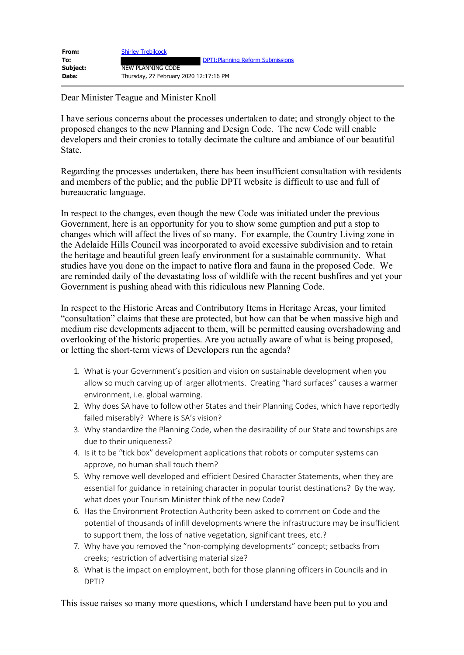| From:    | <b>Shirley Trebilcock</b>                |
|----------|------------------------------------------|
| To:      | <b>DPTI: Planning Reform Submissions</b> |
| Subject: | NEW PLANNING CODE                        |
| Date:    | Thursday, 27 February 2020 12:17:16 PM   |

Dear Minister Teague and Minister Knoll

I have serious concerns about the processes undertaken to date; and strongly object to the proposed changes to the new Planning and Design Code. The new Code will enable developers and their cronies to totally decimate the culture and ambiance of our beautiful State.

Regarding the processes undertaken, there has been insufficient consultation with residents and members of the public; and the public DPTI website is difficult to use and full of bureaucratic language.

In respect to the changes, even though the new Code was initiated under the previous Government, here is an opportunity for you to show some gumption and put a stop to changes which will affect the lives of so many. For example, the Country Living zone in the Adelaide Hills Council was incorporated to avoid excessive subdivision and to retain the heritage and beautiful green leafy environment for a sustainable community. What studies have you done on the impact to native flora and fauna in the proposed Code. We are reminded daily of the devastating loss of wildlife with the recent bushfires and yet your Government is pushing ahead with this ridiculous new Planning Code.

In respect to the Historic Areas and Contributory Items in Heritage Areas, your limited "consultation" claims that these are protected, but how can that be when massive high and medium rise developments adjacent to them, will be permitted causing overshadowing and overlooking of the historic properties. Are you actually aware of what is being proposed, or letting the short-term views of Developers run the agenda?

- 1. What is your Government's position and vision on sustainable development when you allow so much carving up of larger allotments. Creating "hard surfaces" causes a warmer environment, i.e. global warming.
- 2. Why does SA have to follow other States and their Planning Codes, which have reportedly failed miserably? Where is SA's vision?
- 3. Why standardize the Planning Code, when the desirability of our State and townships are due to their uniqueness?
- 4. Is it to be "tick box" development applications that robots or computer systems can approve, no human shall touch them?
- 5. Why remove well developed and efficient Desired Character Statements, when they are essential for guidance in retaining character in popular tourist destinations? By the way, what does your Tourism Minister think of the new Code?
- 6. Has the Environment Protection Authority been asked to comment on Code and the potential of thousands of infill developments where the infrastructure may be insufficient to support them, the loss of native vegetation, significant trees, etc.?
- 7. Why have you removed the "non-complying developments" concept; setbacks from creeks; restriction of advertising material size?
- 8. What is the impact on employment, both for those planning officers in Councils and in DPTI?

This issue raises so many more questions, which I understand have been put to you and